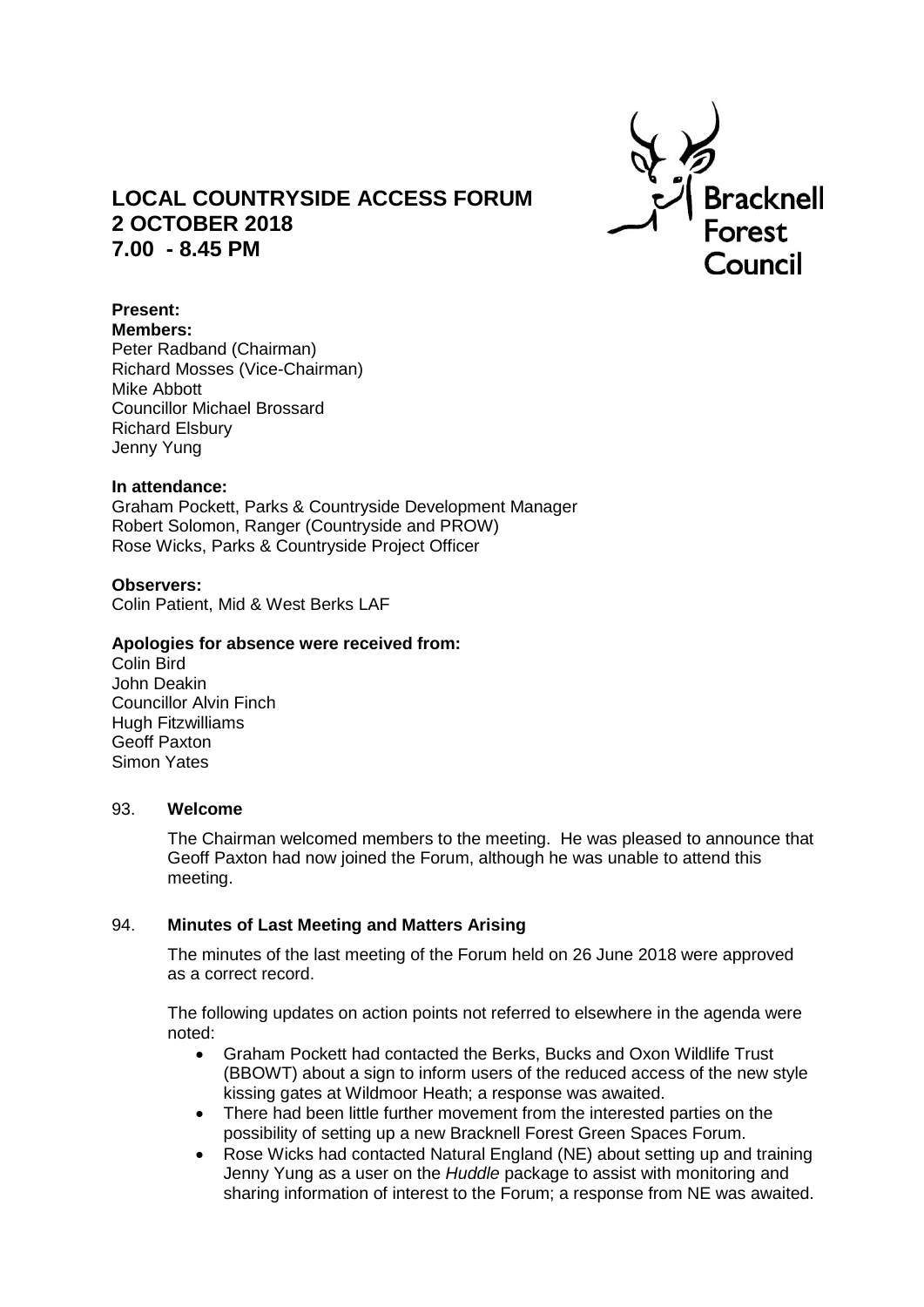

# **LOCAL COUNTRYSIDE ACCESS FORUM 2 OCTOBER 2018 7.00 - 8.45 PM**

## **Present:**

**Members:**

Peter Radband (Chairman) Richard Mosses (Vice-Chairman) Mike Abbott Councillor Michael Brossard Richard Elsbury Jenny Yung

## **In attendance:**

Graham Pockett, Parks & Countryside Development Manager Robert Solomon, Ranger (Countryside and PROW) Rose Wicks, Parks & Countryside Project Officer

# **Observers:**

Colin Patient, Mid & West Berks LAF

#### **Apologies for absence were received from:**

Colin Bird John Deakin Councillor Alvin Finch Hugh Fitzwilliams Geoff Paxton Simon Yates

#### 93. **Welcome**

The Chairman welcomed members to the meeting. He was pleased to announce that Geoff Paxton had now joined the Forum, although he was unable to attend this meeting.

# 94. **Minutes of Last Meeting and Matters Arising**

The minutes of the last meeting of the Forum held on 26 June 2018 were approved as a correct record.

The following updates on action points not referred to elsewhere in the agenda were noted:

- Graham Pockett had contacted the Berks, Bucks and Oxon Wildlife Trust (BBOWT) about a sign to inform users of the reduced access of the new style kissing gates at Wildmoor Heath; a response was awaited.
- There had been little further movement from the interested parties on the possibility of setting up a new Bracknell Forest Green Spaces Forum.
- Rose Wicks had contacted Natural England (NE) about setting up and training Jenny Yung as a user on the *Huddle* package to assist with monitoring and sharing information of interest to the Forum; a response from NE was awaited.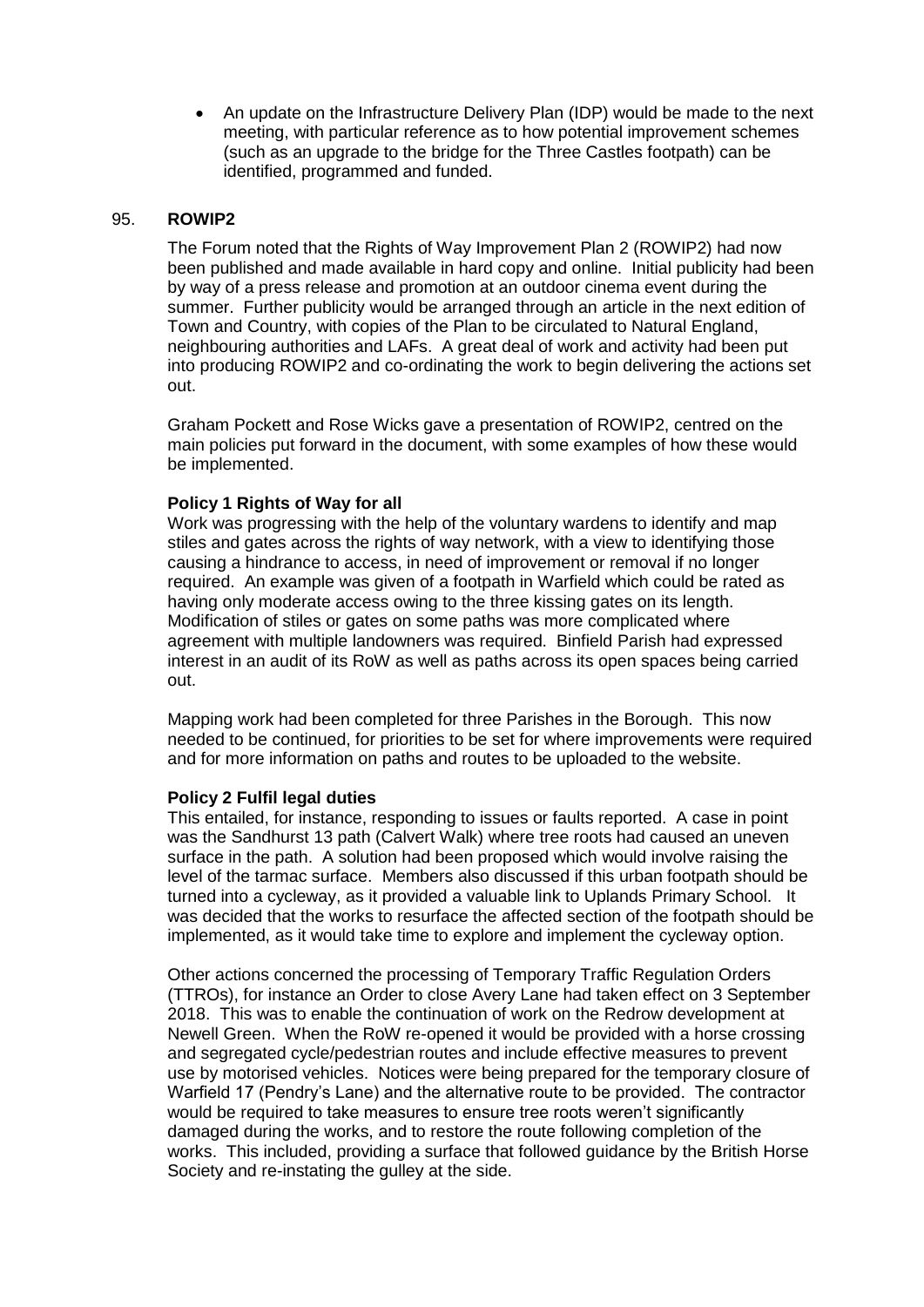An update on the Infrastructure Delivery Plan (IDP) would be made to the next meeting, with particular reference as to how potential improvement schemes (such as an upgrade to the bridge for the Three Castles footpath) can be identified, programmed and funded.

# 95. **ROWIP2**

The Forum noted that the Rights of Way Improvement Plan 2 (ROWIP2) had now been published and made available in hard copy and online. Initial publicity had been by way of a press release and promotion at an outdoor cinema event during the summer. Further publicity would be arranged through an article in the next edition of Town and Country, with copies of the Plan to be circulated to Natural England, neighbouring authorities and LAFs. A great deal of work and activity had been put into producing ROWIP2 and co-ordinating the work to begin delivering the actions set out.

Graham Pockett and Rose Wicks gave a presentation of ROWIP2, centred on the main policies put forward in the document, with some examples of how these would be implemented.

## **Policy 1 Rights of Way for all**

Work was progressing with the help of the voluntary wardens to identify and map stiles and gates across the rights of way network, with a view to identifying those causing a hindrance to access, in need of improvement or removal if no longer required. An example was given of a footpath in Warfield which could be rated as having only moderate access owing to the three kissing gates on its length. Modification of stiles or gates on some paths was more complicated where agreement with multiple landowners was required. Binfield Parish had expressed interest in an audit of its RoW as well as paths across its open spaces being carried out.

Mapping work had been completed for three Parishes in the Borough. This now needed to be continued, for priorities to be set for where improvements were required and for more information on paths and routes to be uploaded to the website.

#### **Policy 2 Fulfil legal duties**

This entailed, for instance, responding to issues or faults reported. A case in point was the Sandhurst 13 path (Calvert Walk) where tree roots had caused an uneven surface in the path. A solution had been proposed which would involve raising the level of the tarmac surface. Members also discussed if this urban footpath should be turned into a cycleway, as it provided a valuable link to Uplands Primary School. It was decided that the works to resurface the affected section of the footpath should be implemented, as it would take time to explore and implement the cycleway option.

Other actions concerned the processing of Temporary Traffic Regulation Orders (TTROs), for instance an Order to close Avery Lane had taken effect on 3 September 2018. This was to enable the continuation of work on the Redrow development at Newell Green. When the RoW re-opened it would be provided with a horse crossing and segregated cycle/pedestrian routes and include effective measures to prevent use by motorised vehicles. Notices were being prepared for the temporary closure of Warfield 17 (Pendry's Lane) and the alternative route to be provided. The contractor would be required to take measures to ensure tree roots weren't significantly damaged during the works, and to restore the route following completion of the works. This included, providing a surface that followed guidance by the British Horse Society and re-instating the gulley at the side.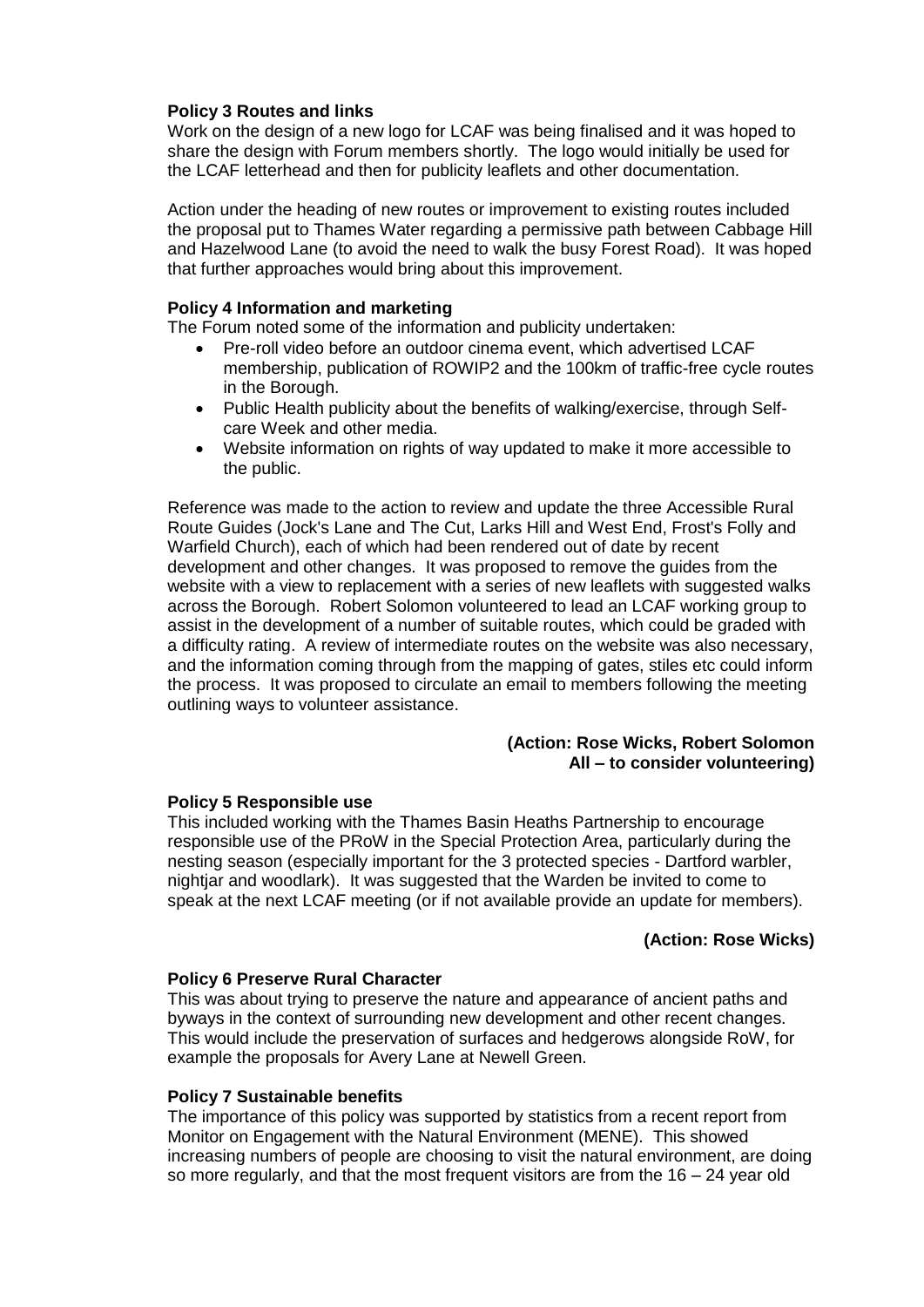## **Policy 3 Routes and links**

Work on the design of a new logo for LCAF was being finalised and it was hoped to share the design with Forum members shortly. The logo would initially be used for the LCAF letterhead and then for publicity leaflets and other documentation.

Action under the heading of new routes or improvement to existing routes included the proposal put to Thames Water regarding a permissive path between Cabbage Hill and Hazelwood Lane (to avoid the need to walk the busy Forest Road). It was hoped that further approaches would bring about this improvement.

## **Policy 4 Information and marketing**

The Forum noted some of the information and publicity undertaken:

- Pre-roll video before an outdoor cinema event, which advertised LCAF membership, publication of ROWIP2 and the 100km of traffic-free cycle routes in the Borough.
- Public Health publicity about the benefits of walking/exercise, through Selfcare Week and other media.
- Website information on rights of way updated to make it more accessible to the public.

Reference was made to the action to review and update the three Accessible Rural Route Guides (Jock's Lane and The Cut, Larks Hill and West End, Frost's Folly and Warfield Church), each of which had been rendered out of date by recent development and other changes. It was proposed to remove the guides from the website with a view to replacement with a series of new leaflets with suggested walks across the Borough. Robert Solomon volunteered to lead an LCAF working group to assist in the development of a number of suitable routes, which could be graded with a difficulty rating. A review of intermediate routes on the website was also necessary, and the information coming through from the mapping of gates, stiles etc could inform the process. It was proposed to circulate an email to members following the meeting outlining ways to volunteer assistance.

## **(Action: Rose Wicks, Robert Solomon All – to consider volunteering)**

#### **Policy 5 Responsible use**

This included working with the Thames Basin Heaths Partnership to encourage responsible use of the PRoW in the Special Protection Area, particularly during the nesting season (especially important for the 3 protected species - Dartford warbler, nightjar and woodlark). It was suggested that the Warden be invited to come to speak at the next LCAF meeting (or if not available provide an update for members).

#### **(Action: Rose Wicks)**

#### **Policy 6 Preserve Rural Character**

This was about trying to preserve the nature and appearance of ancient paths and byways in the context of surrounding new development and other recent changes. This would include the preservation of surfaces and hedgerows alongside RoW, for example the proposals for Avery Lane at Newell Green.

#### **Policy 7 Sustainable benefits**

The importance of this policy was supported by statistics from a recent report from Monitor on Engagement with the Natural Environment (MENE). This showed increasing numbers of people are choosing to visit the natural environment, are doing so more regularly, and that the most frequent visitors are from the  $16 - 24$  year old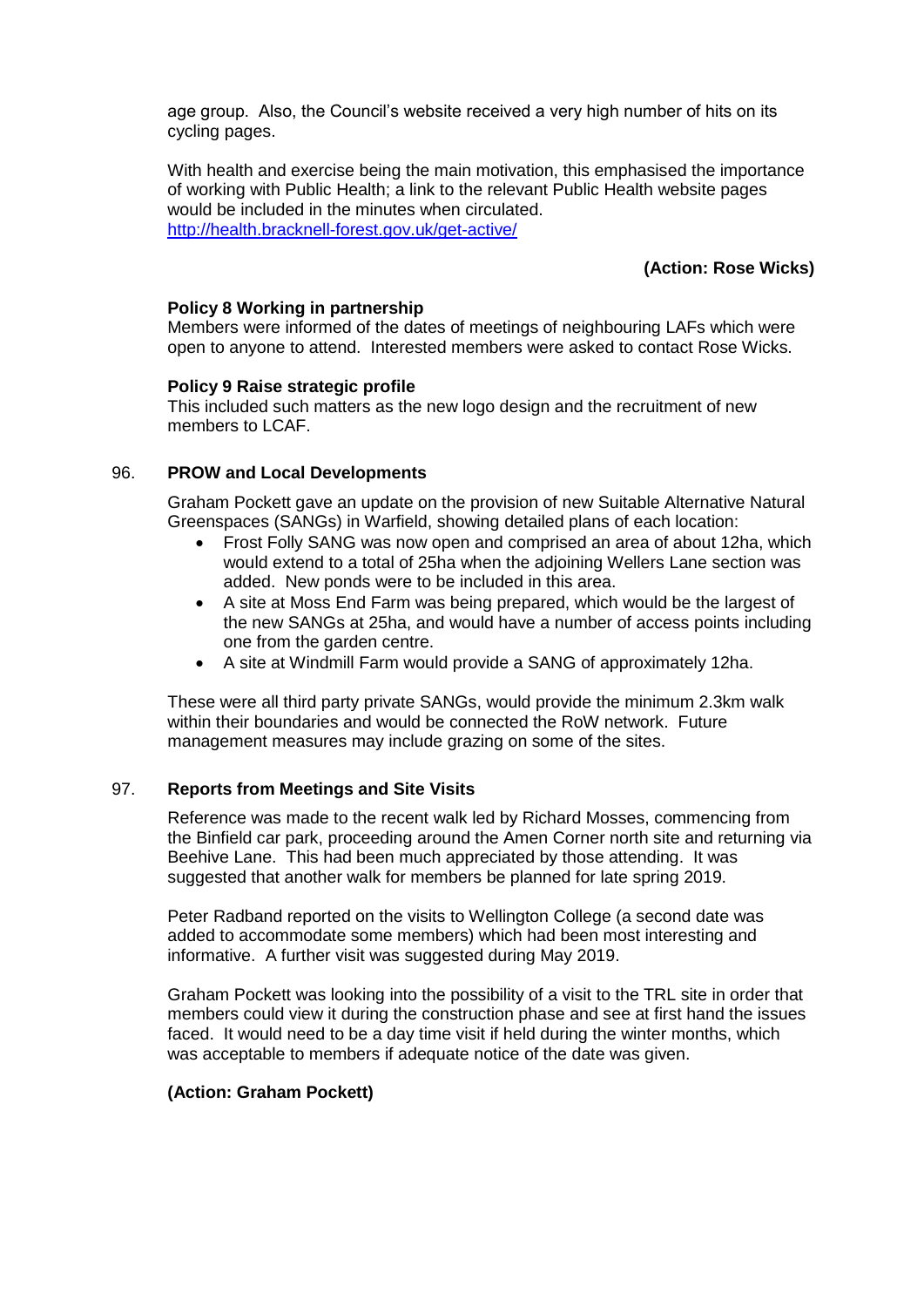age group. Also, the Council's website received a very high number of hits on its cycling pages.

With health and exercise being the main motivation, this emphasised the importance of working with Public Health; a link to the relevant Public Health website pages would be included in the minutes when circulated. <http://health.bracknell-forest.gov.uk/get-active/>

# **(Action: Rose Wicks)**

### **Policy 8 Working in partnership**

Members were informed of the dates of meetings of neighbouring LAFs which were open to anyone to attend. Interested members were asked to contact Rose Wicks.

#### **Policy 9 Raise strategic profile**

This included such matters as the new logo design and the recruitment of new members to LCAF.

## 96. **PROW and Local Developments**

Graham Pockett gave an update on the provision of new Suitable Alternative Natural Greenspaces (SANGs) in Warfield, showing detailed plans of each location:

- Frost Folly SANG was now open and comprised an area of about 12ha, which would extend to a total of 25ha when the adjoining Wellers Lane section was added. New ponds were to be included in this area.
- A site at Moss End Farm was being prepared, which would be the largest of the new SANGs at 25ha, and would have a number of access points including one from the garden centre.
- A site at Windmill Farm would provide a SANG of approximately 12ha.

These were all third party private SANGs, would provide the minimum 2.3km walk within their boundaries and would be connected the RoW network. Future management measures may include grazing on some of the sites.

#### 97. **Reports from Meetings and Site Visits**

Reference was made to the recent walk led by Richard Mosses, commencing from the Binfield car park, proceeding around the Amen Corner north site and returning via Beehive Lane. This had been much appreciated by those attending. It was suggested that another walk for members be planned for late spring 2019.

Peter Radband reported on the visits to Wellington College (a second date was added to accommodate some members) which had been most interesting and informative. A further visit was suggested during May 2019.

Graham Pockett was looking into the possibility of a visit to the TRL site in order that members could view it during the construction phase and see at first hand the issues faced. It would need to be a day time visit if held during the winter months, which was acceptable to members if adequate notice of the date was given.

#### **(Action: Graham Pockett)**